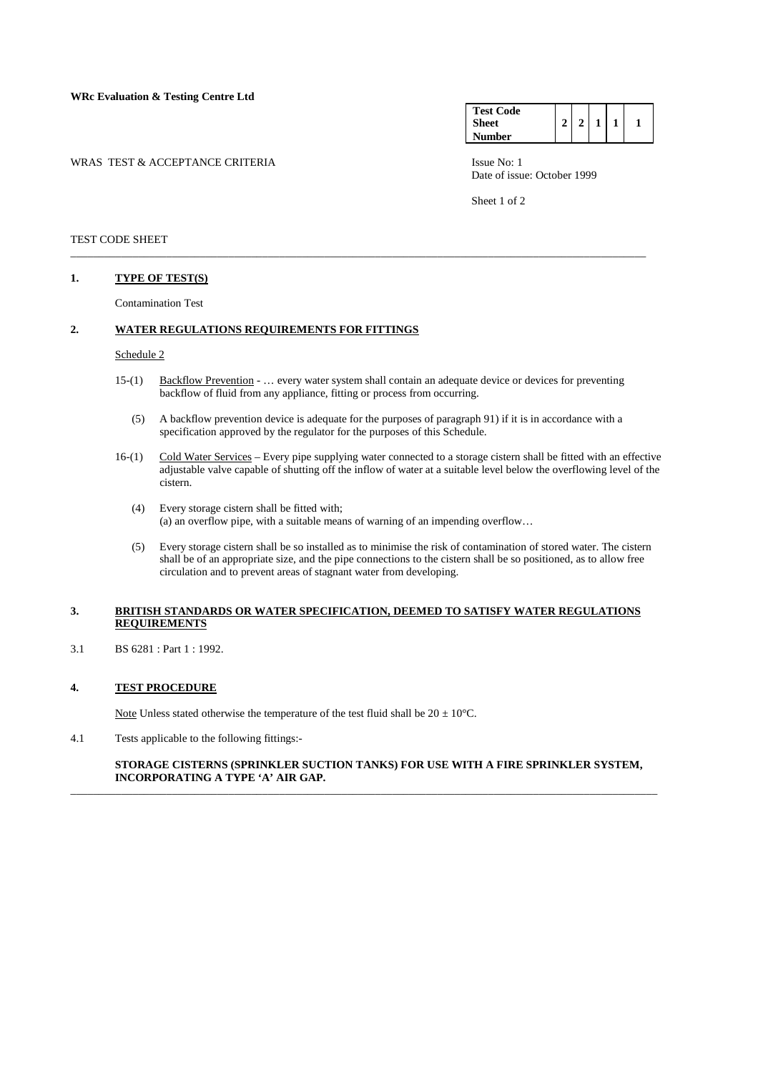WRAS TEST & ACCEPTANCE CRITERIA ISSUE No: 1

| <b>Test Code</b> |   |  |  |
|------------------|---|--|--|
| <b>Sheet</b>     | ↑ |  |  |
| <b>Number</b>    |   |  |  |

Date of issue: October 1999

Sheet 1 of 2

#### TEST CODE SHEET

### **1. TYPE OF TEST(S)**

Contamination Test

# **2. WATER REGULATIONS REQUIREMENTS FOR FITTINGS**

# Schedule 2

 15-(1) Backflow Prevention - … every water system shall contain an adequate device or devices for preventing backflow of fluid from any appliance, fitting or process from occurring.

\_\_\_\_\_\_\_\_\_\_\_\_\_\_\_\_\_\_\_\_\_\_\_\_\_\_\_\_\_\_\_\_\_\_\_\_\_\_\_\_\_\_\_\_\_\_\_\_\_\_\_\_\_\_\_\_\_\_\_\_\_\_\_\_\_\_\_\_\_\_\_\_\_\_\_\_\_\_\_\_\_\_\_\_\_\_\_\_\_\_\_\_\_\_\_\_\_\_\_\_\_\_

- (5) A backflow prevention device is adequate for the purposes of paragraph 91) if it is in accordance with a specification approved by the regulator for the purposes of this Schedule.
- 16-(1) Cold Water Services Every pipe supplying water connected to a storage cistern shall be fitted with an effective adjustable valve capable of shutting off the inflow of water at a suitable level below the overflowing level of the cistern.
	- (4) Every storage cistern shall be fitted with; (a) an overflow pipe, with a suitable means of warning of an impending overflow…
	- (5) Every storage cistern shall be so installed as to minimise the risk of contamination of stored water. The cistern shall be of an appropriate size, and the pipe connections to the cistern shall be so positioned, as to allow free circulation and to prevent areas of stagnant water from developing.

## **3. BRITISH STANDARDS OR WATER SPECIFICATION, DEEMED TO SATISFY WATER REGULATIONS REQUIREMENTS**

3.1 BS 6281 : Part 1 : 1992.

# **4. TEST PROCEDURE**

Note Unless stated otherwise the temperature of the test fluid shall be  $20 \pm 10^{\circ}$ C.

4.1 Tests applicable to the following fittings:-

## **STORAGE CISTERNS (SPRINKLER SUCTION TANKS) FOR USE WITH A FIRE SPRINKLER SYSTEM, INCORPORATING A TYPE 'A' AIR GAP.**

\_\_\_\_\_\_\_\_\_\_\_\_\_\_\_\_\_\_\_\_\_\_\_\_\_\_\_\_\_\_\_\_\_\_\_\_\_\_\_\_\_\_\_\_\_\_\_\_\_\_\_\_\_\_\_\_\_\_\_\_\_\_\_\_\_\_\_\_\_\_\_\_\_\_\_\_\_\_\_\_\_\_\_\_\_\_\_\_\_\_\_\_\_\_\_\_\_\_\_\_\_\_\_\_